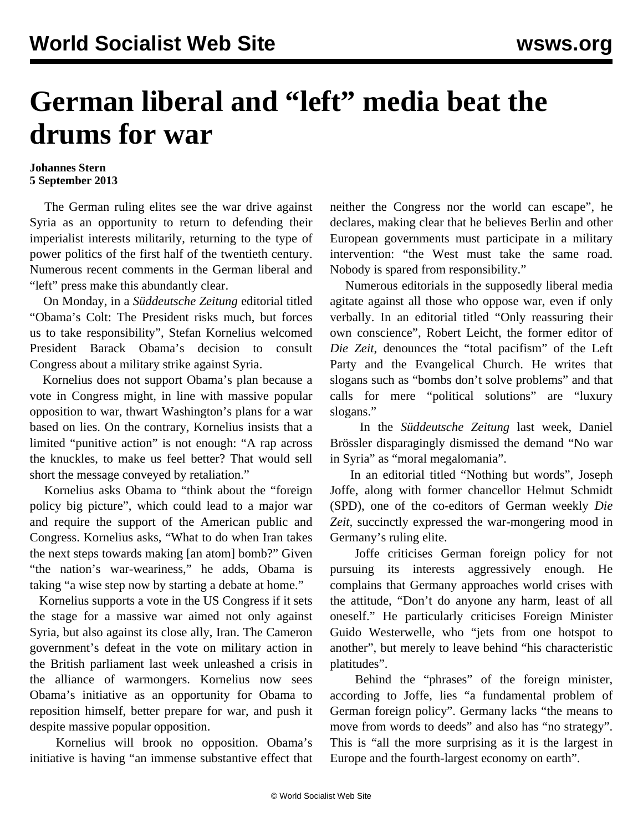## **German liberal and "left" media beat the drums for war**

## **Johannes Stern 5 September 2013**

 The German ruling elites see the war drive against Syria as an opportunity to return to defending their imperialist interests militarily, returning to the type of power politics of the first half of the twentieth century. Numerous recent comments in the German liberal and "left" press make this abundantly clear.

 On Monday, in a *Süddeutsche Zeitung* editorial titled "Obama's Colt: The President risks much, but forces us to take responsibility", Stefan Kornelius welcomed President Barack Obama's decision to consult Congress about a military strike against Syria.

 Kornelius does not support Obama's plan because a vote in Congress might, in line with massive popular opposition to war, thwart Washington's plans for a war based on lies. On the contrary, Kornelius insists that a limited "punitive action" is not enough: "A rap across the knuckles, to make us feel better? That would sell short the message conveyed by retaliation."

 Kornelius asks Obama to "think about the "foreign policy big picture", which could lead to a major war and require the support of the American public and Congress. Kornelius asks, "What to do when Iran takes the next steps towards making [an atom] bomb?" Given "the nation's war-weariness," he adds, Obama is taking "a wise step now by starting a debate at home."

 Kornelius supports a vote in the US Congress if it sets the stage for a massive war aimed not only against Syria, but also against its close ally, Iran. The Cameron government's defeat in the vote on military action in the British parliament last week unleashed a crisis in the alliance of warmongers. Kornelius now sees Obama's initiative as an opportunity for Obama to reposition himself, better prepare for war, and push it despite massive popular opposition.

 Kornelius will brook no opposition. Obama's initiative is having "an immense substantive effect that neither the Congress nor the world can escape", he declares, making clear that he believes Berlin and other European governments must participate in a military intervention: "the West must take the same road. Nobody is spared from responsibility."

 Numerous editorials in the supposedly liberal media agitate against all those who oppose war, even if only verbally. In an editorial titled "Only reassuring their own conscience", Robert Leicht, the former editor of *Die Zeit*, denounces the "total pacifism" of the Left Party and the Evangelical Church. He writes that slogans such as "bombs don't solve problems" and that calls for mere "political solutions" are "luxury slogans."

 In the *Süddeutsche Zeitung* last week, Daniel Brössler disparagingly dismissed the demand "No war in Syria" as "moral megalomania".

 In an editorial titled "Nothing but words", Joseph Joffe, along with former chancellor Helmut Schmidt (SPD), one of the co-editors of German weekly *Die Zeit,* succinctly expressed the war-mongering mood in Germany's ruling elite.

 Joffe criticises German foreign policy for not pursuing its interests aggressively enough. He complains that Germany approaches world crises with the attitude, "Don't do anyone any harm, least of all oneself." He particularly criticises Foreign Minister Guido Westerwelle, who "jets from one hotspot to another", but merely to leave behind "his characteristic platitudes".

 Behind the "phrases" of the foreign minister, according to Joffe, lies "a fundamental problem of German foreign policy". Germany lacks "the means to move from words to deeds" and also has "no strategy". This is "all the more surprising as it is the largest in Europe and the fourth-largest economy on earth".